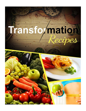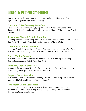# Green & Protein Smoothies

**Coach Tip:** Blend the water and greens FIRST, and then add the rest of the ingredients  $\odot$  *(each recipe makes 1 serving)* 

### **Cinnamon Chia-Blueberry Smoothie**

1 cup Frozen Blueberries (wild),  $\frac{1}{2}$  cup Kale leaves, 1 tbsp. Chia Seeds, 1 tsp. Cinnamon, 1 tbsp. Lemon Juice, 1 cup Unsweetened Almond Milk, 1 serving Protein Powder

### **Strawberry Almond Protein Smoothie**

1 serving Protein Powder, 1 cup Frozen Strawberries, 2 tbsp. Almonds (raw), 1 tbsp. Chia Seeds,  $\frac{1}{2}$  cup Baby Spinach, 1 cup Unsweetened Almond Milk

### **Cinnamon & Vanilla Smoothie**

1 serving Protein Powder, 1 tbsp. Ground Flax Seed, 1 tbsp. Chia Seeds, 3/4 Banana (frozen), 2 Ice Cubes, 1 cup Water,  $\frac{1}{4}$  tsp Cinnamon,  $\frac{1}{2}$  cup Baby Spinach

### **Cherry Vanilla Smoothie**

 $\frac{3}{4}$  cup Frozen Cherries, 1 serving Protein Powder, 1 cup Baby Spinach, 1 cup Unsweetened Almond Milk, 1 Tbsp. Chia Seeds. 

### **Blueberry Cashew Smoothie**

3 tbsps. Cashews, 2 tbsps. Hemp Seeds, 1 serving Vanilla Protein Powder, 1 cup Water, 1 cup Baby Spinach, 3/4 cup Frozen Blueberries

# **Tropical Green Smoothie**

 $\frac{1}{2}$  Avocado,  $\frac{1}{2}$  cup Baby Spinach, 1 serving Protein Powder, 1 cup Unsweetened Almond Milk, 1/2 cup Pineapple (fresh or frozen)

### **Strawberry Banana Smoothie**

 $\frac{1}{2}$  cup Frozen Strawberries,  $\frac{1}{2}$  Banana, 2 tbsps. Oats (Gluten-Free), 1 cup Unsweetened Almond Milk, 1 tbsp. Hemp Seeds, 1 serving Protein Powder, 1 tsp. Coconut Oil,  $\frac{1}{2}$  cup Baby Spinach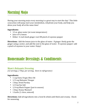# Morning Mojo

Having your morning mojo every morning is a great way to start the day! This little concoction will jump-start your metabolism, rehydrate your body, and help you detox your body all at the same time!

### **Ingredients:**

- 12 oz. glass water (at room temperature)
- Juice of  $\frac{1}{2}$  lemon
- Either:  $\frac{1}{2}$  inch knob ginger root OR pinch of cayenne pepper

**Directions:** Add the lemon juice to the glass of water. If ginger: finely grate the ginger using a zester, and add the zest to the glass of water. If cayenne pepper: add a pinch of cayenne to your water. Enjoy!

# Homemade Dressings & Condiments

# **Mom's Balsamic Dressing**

*(12 servings, 2 Tbsp. per serving. Store in refrigerator)*

### **Ingredients:**

- 1 cup Extra Virgin Olive Oil
- 1/3 cup Balsamic Vinegar
- 1 tbsp. Dried Parsley
- $1/2$  tsp Sea Salt
- 1/4 tsp Black Pepper (just to season)
- 1 tbsp. Honey Mustard
- 1 Garlic (1 clove, minced)

**Directions:** Add all ingredients into a bowl & whisk until thick and creamy. Check for seasoning.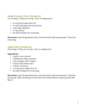# **Simple Lemon Citrus Vinaigrette**

*(12 servings, 2 Tbsp. per serving. Store in refrigerator)*

- $\frac{3}{4}$  cup Extra Virgin Olive Oil
- $\frac{1}{4}$  cup Fresh Squeezed Lemon Juice
- 1 tsp. Dijon Mustard
- 1.5 tsp. Honey
- Sea Salt & Pepper for seasoning

**Directions:** Add all ingredients into a bowl & whisk until incorporated. Check for seasoning.

# **Apple Cider Vinaigrette**

*(8 servings, 2 Tbsp. per serving. Store in refrigerator)*

### **Ingredients:**

- 1 garlic clove, minced
- 1 tablespoon Dijon mustard
- $\cdot$  1/4 cup apple cider vinegar
- 2 Tbsp. fresh lemon juice
- 1 Tbsp. raw honey,
- $1/3$  cup extra-virgin olive oil
- Sea Salt & Pepper for seasoning

**Directions:** Add all ingredients into a bowl & whisk until incorporated. Check for seasoning. Allow dressing to sit for about 30 minutes before using to get the full flavor!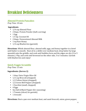# Breakfast Deliciousness

# **Almond Protein Pancakes**

*Prep Time: 10 min*

### **Ingredients**

- 1/4 cup Almond Flour
- 2 tbsps. Protein Powder (half a serving)
- $\bullet$  1 Egg
- 1.5 tsp. Coconut Oil
- 2 tbsps. Unsweetened Almond Milk
- 1 tsp Raw Honey
- $1/4$  cup Blueberries (garnish)

**Directions**: Whisk almond flour, almond milk, eggs, and honey together in a bowl until batter is smooth. Heat oil in a skillet over medium heat; drop batter by large spoonful onto the griddle, and cook until bubbles form and the edges are dry (3 to 5 minutes.) Flip, and cook until browned on the other side, 3 to 5 minutes. Garnish with blueberries and enjoy!

# **Quick Veggie Scramble**

*Prep Time: 15 min*

### **Ingredients: (Serves 2)**

- 1 tbsp. Extra Virgin Olive Oil
- 1/2 cup Broccoli (chopped)
- 1/2 Yellow Onion (chopped)
- 1/2 Green Bell Pepper (chopped)
- 1 Zucchini (small, chopped)
- $\bullet$  4 Eggs
- Sea Salt & Black Pepper (for seasoning)
- 1 Tomato (sliced, for garnish)
- 1 Avocado

**Directions:** Heat a pan over medium heat, and sauté broccoli, onion, green pepper,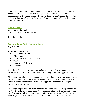and zucchini until tender (about 3-5 mins). In a small bowl, add the eggs and whisk them together. Pour the eggs over the vegetables in the pan, and scramble to your liking. Season with salt and pepper. (Be sure to keep stirring them so the eggs don't stick to the bottom of the pan). Serve with sliced tomato (sprinkled with sea salt), and sliced avocado

### **Mixed Berries**

### **Ingredients**: (**Serves 1)**

• 1/2 cup Fresh Mixed Berries

**Directions:** Enjoy!

# **Avocado Toast With Poached Eggs**

*Prep Time: 15 min*

### **Ingredients (Serves 1)**

- 1 slice Ezekiel Bread
- $\bullet$  1/2 Avocado
- Sea Salt & Black Pepper (to taste)
- 2 Eggs
- 1 tbsp. Apple Cider Vinegar
- 1/8 tsp Sea Salt

**Directions:** Bring a pot of water to a boil on your stove. Add sea salt and vinegar. Put Ezekiel bread in toaster. While water is heating, crack your egg into a bowl.

When the water is boiling, take a spoon and move it in a circle in your pot to create a "whirlpool." Gently add your egg into the pot. Poach for 3 to 4 minutes, then use a slotted spoon to carefully remove from the egg onto a paper towel-lined plate to soak up the excess water.

While eggs are poaching, cut avocado in half and remove the pit. Wrap one half and put it in the fridge for another time. Scoop avocado into a bowl, and mash it with a fork. Season with salt and pepper. Spread mixture out over toast. Transfer the eggs on top of your toast, and season again with salt and pepper if needed. Enjoy!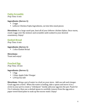### **Fajita Scramble**

*Prep Time: 6 min*

### **Ingredients:** (Serves 1)

- 2 eggs
- Leftover Chicken Fajita Ingredients, cut into bite-sized pieces

**Directions:** In a large sauté pan, heat all of your leftover chicken fajitas. Once warm, crack 2 eggs over the mixture and scramble until cooked to your desired consistency. Enjoy!

### **Ezekiel Bread**

*Prep Time: 6 min*

### **Ingredients:** (Serves 1)

• 1 slice Ezekiel Bread

### **Directions:**

Toast and enjoy!

# **Poached Egg**

*Prep Time: 10 min*

### **Ingredients:** (Serves 1)

- $\bullet$  1 Egg
- 1 tbsp. Apple Cider Vinegar
- $1/8$  tsp Sea Salt

**Directions:** Bring a pot of water to a boil on your stove. Add sea salt and vinegar. Crack egg into a bowl. When the water is boiling, take a spoon and move it in a circle in your pot to create a "whirlpool." Gently add your egg into the pot. Poach for 3 to 4 minutes, then use a slotted spoon to carefully remove from the egg onto a paper towel-lined plate to soak up the excess water. Enjoy!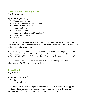# **Zucchini Bread Overnight Oats**

*Prep Time: 8 hours*

### **Ingredients: (Serves 2)**

- 3/4 cup Oats (Gluten-Free)
- 3/4 cup Unsweetened Almond Milk
- 1 tbsp. Ground Flax Seed
- 1 tbsp. Maple Syrup
- $1/2$  tsp Cinnamon
- 1 Zucchini (grated- about 1 cup total)
- 2 tbsps. Hemp Seeds
- 1 Banana (sliced)

**Directions:** Mix together the oats, almond milk, ground flax seeds, maple syrup, cinnamon, zucchini, and hemp seeds in a large bowl. Cover the bowl, and then put it in the refrigerator overnight.

In the morning, take a cereal bowl and put about half of the overnight oats in the bottom. (save the other half for following day). Add about 2 Tbsp. of additional oats to the bowl, stir. Add  $1/2$  of a banana, sliced. Sprinkle with cinnamon, and enjoy!

**NOTES:** Hot or cold - These are great both hot AND cold! Simply put it in the microwave for 30-90 seconds to warm it up.

# **Scrambled Egg**

*Prep Time: 6 min*

### **Ingredients:** (Serves 1)

- Egg
- Sea Salt & Black Pepper

**Directions:** Warm a non-stick pan over medium heat. Once warm, crack egg into a bowl and whisk. Season with salt and pepper. Pour the egg into the pan, and scramble until it's cooked to your desired consistency. Enjoy!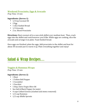### **Weekend Prosciutto, Eggs & Avocado**

*Prep Time: 15 min*

### **Ingredients:** (Serves 1)

- 1/4 tsp Coconut Oil
- $\bullet$  2 Egg
- 1 slice Ezekiel Bread
- 1/3 Avocado
- 2 oz. Sliced Prosciutto

**Directions:** Heat coconut oil in a non-stick skillet over medium heat. Then, crack eggs into the skillet and cook however you'd like. While eggs are cooking, slice the avocado and arrange it on plate. Toast Ezekiel bread.

Once eggs are finished, plate the eggs. Add prosciutto to the skillet and heat for about 30 seconds just to warm it up. Plate everything together and enjoy!

# Salad & Wrap Recipes…

# **Veggies & Hummus Wraps**

*Prep Time: 15 min*

### **Ingredients: (Serves 2)**

- 1 Beet
- 1 Yellow Bell Pepper
- 1 Cucumber
- 1 Zucchini
- 1 tbsp. Extra Virgin Olive Oil
- Sea Salt & Black Pepper (to taste)
- 4 cups Collard Greens (washed and stems removed)
- $\cdot$  1/2 cup Hummus
- 1/2 cup Alfalfa Sprouts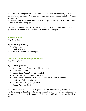**Directions:** Slice vegetables (beets, pepper, cucumber, and zucchini), into thin "matchstick" size pieces. Or, if you have a spiralizer, you can use that also. Box grater works as well.

Once everything is chopped, toss with extra virgin olive oil and season with sea salt and fresh ground black pepper.

For the collard green "wraps," spread out a spoonful of hummus on each. Add the sprouts and top with chopped veggies. Wrap it up and enjoy!

# **Sliced Avocado**

*Prep Time: 1 min*

### **Ingredients: (serves 1)**

- 1/4 Avocado
- Pinch of Sea Salt

**Directions:** Slice avocado and enjoy!

### **Chicken & Butternut Squash Salad**

*Prep Time: 40 min*

### **Ingredients: (Serves 2)**

- 2 cups Butternut Squash (diced into cubes)
- $\cdot$  1/4 tsp Cinnamon
- 1 tbsp. Extra Virgin Olive Oil (divided)
- 4 cups Kale Leaves (finely chopped)
- 10 oz. Chicken Breast (Pre-Cooked) (Roasted is great, chopped)
- 1 1/2 tsps. Balsamic Vinegar
- Sea Salt & Black Pepper (to taste)
- 3 tbsp. Pumpkin Seeds

**Directions:** Preheat oven to 420 degrees. Line a rimmed baking sheet with parchment paper. Toss the butternut squash in  $1/2$  tbsp. of olive oil and spread on baking sheet. Sprinkle with cinnamon. Bake for 20 to 25 minutes, or until golden brown.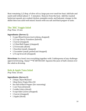Heat remaining 1/2 tbsp. of olive oil in a large pan over med-low heat. Add kale and sauté until wilted (about 3 - 5 minutes). Remove from the heat. Add the roasted butternut squash, pre-cooked chicken, pumpkin seeds, and balsamic vinegar to the skillet then toss until well mixed. Season with sea salt and black pepper to taste.

# **The "BIG" Veggie Salad**

*Prep Time: 15 min*

### **Ingredients: (Serves 1)**

- 3 cups Mixed Greens (not iceberg, chopped)
- 1/2 cup Cherry Tomatoes (halved)
- 1 Carrot (chopped)
- 1/2 Red Bell Pepper (chopped)
- 1/4 Avocado (diced)
- 1 Zucchini (small, chopped)
- 1 Cucumber (small, peeled and chopped)
- $1/4$  cup broccoli (chopped)

**Directions:** In a bowl, toss everything together with 2 tablespoons of any challengeapproved dressing. Enjoy! \*\*\*IF DETOX DAY: Squeeze the juice of half a lemon over the salad as dressing.

# **Kale & Apple Tuna Salad**

*Prep Time: 10 min*

### **Ingredients: (Serves 2)**

- 2 tbsps. Dijon Mustard
- 1tbsp Extra Virgin Olive Oil
- Sea Salt & Black Pepper (for seasoning)
- 1 can Tuna (drained)
- 2 stalks Celery (diced)
- 4 cups Kale Leaves (chopped)
- 1 Carrot (chopped)
- 1 Apple (diced)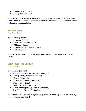- 1 Cucumber (chopped)
- 1/4 cup Pumpkin Seeds

**Directions:** Whisk mustard, olive oil, and salt and pepper together in large bowl. Then, add all of the other ingredients to the bowl and toss. Season with extra sea salt and pepper if needed. Enjoy!

# **Avocado Salad**

*Prep Time: 5 min*

### **Ingredients: (Serves 2)**

- 1 Avocado (cubed)
- 1 tbsp. Extra Virgin Olive Oil
- 1/8 Lemon (juiced)
- 1 tsp Red Pepper Flakes (optional)
- $1/4$  tsp Sea Salt

**Directions:** Gentle toss all of the ingredients and mix them together in a bowl. Enjoy!

# **Giant Salad with Chicken**

*Prep Time: 15 min*

### **Ingredients: (Serves 1)**

- 3 cups Mixed Greens (not iceberg, chopped)
- 1/2 cup Cherry Tomatoes (halved)
- 1 Carrot (chopped)
- 1/2 Red Bell Pepper (chopped)
- 1/4 Avocado (diced)
- 1 Zucchini (small, chopped)
- 1/2 Cucumber (small, peeled and chopped)
- 5 oz. Chicken Breast (Pre-Cooked)

**Directions:** In a bowl, toss everything together with 2 tablespoons of any challengeapproved dressing. Enjoy!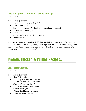# **Chicken, Apple & Smashed Avocado Roll-Ups**

*Prep Time: 10 min*

### **Ingredients: (Serves 1)**

- 1 Apple (sliced into matchsticks)
- 1 tsp. Lemon Juice
- 5 oz. Chicken Breast (Pre-Cooked) (precooked, shredded)
- 1/2 Red Bell Pepper (sliced)
- 1/4 Avocado
- Sea Salt & Black Pepper for seasoning
- Collard Greens

**Directions:** Divide your apple in half. Slice one half into matchsticks for the wraps. Slice the other half into wedges for garnish. Sprinkle with lemon juice so they don't turn brown. Mix all ingredients (minus the lettuce leaves) in a bowl. Spoon into lettuce leaves to make a nice wrap!

# Protein: Chicken & Turkey Recipes…

# **Bruschetta Chicken**

*Prep Time: 20 min*

### **Ingredients: (Serves 3)**

- 15 oz. Chicken Breast
- $11/2$  tbsp. Extra Virgin Olive Oil
- Sea Salt & Black Pepper (to taste)
- 3 Tomato (medium, diced)
- 1/2 cup Red Onion (finely diced)
- 2 Garlic (cloves, minced)
- $1/4$  cup Basil Leaves (chopped)
- 1 tbsp. Balsamic Vinegar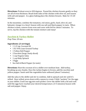**Directions:** Preheat oven to 450 degrees. Pound the chicken breasts gently so they are all of even thickness. Brush both sides of the chicken with olive oil, and season with salt and pepper. In a glass baking place the chicken breasts. Bake for 15-20 minutes.

In the meantime, combine the tomatoes, red onion, garlic, basil, olive oil, and balsamic vinegar in a bowl. Season with sea salt and black pepper to taste. When chicken is done, remove from oven and cover with foil for about 5 minutes. To serve, top the chicken with the tomato mixture and enjoy!

### **Zucchini & Turkey Skillet**

*Prep Time: 20 min*

### **Ingredients: (3 servings)**

- 1 1/2 tsp. Coconut Oil
- 1 lb. 93% Lean Ground Turkey
- 1 Yellow Bell Pepper
- 2 Zucchini (large, finely diced)
- 1 cup Organic Salsa
- 1 cup Baby Spinach
- $\cdot$  3 Eggs
- Sea Salt & Black Pepper (to taste)

**Directions:** Heat the coconut oil in a skillet over medium heat. Add turkey, breaking up any chunks. Once the turkey begins to brown, add the zucchini and yellow pepper. Sauté until the vegetables have softened (about 5 minutes)

Add the salsa to the skillet and stir to combine. Add in spinach and stir until it's wilted. Once wilted, press down with a spoon to create 3 little "pockets" for the eggs in your skillet. Crack one egg into each pocket. Cover the skillet with a lid and cook until the eggs have reached your desired temperature. (3-5 minutes) Season with salt and pepper. Enjoy.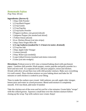# **Homemade Fajitas**

*Prep Time: 40 min*

### **Ingredients: (Serves 4)**

- 1 tbsp. Chili Powder
- 1/2 tsp Black Pepper
- $\cdot$  1/2 tsp Cumin
- $\cdot$  1/2 tsp Paprika
- 1/2 tsp Garlic Powder
- 3 Peppers (yellow, red, green) (sliced)
- 1 Jalapeno Pepper (de-seeded and sliced)
- 1 Yellow Onion (sliced)
- 16 oz. Chicken Breast (cut into strips)
- 1 tbsp. Extra Virgin Olive Oil
- **1/2** cup Cashews (soaked for 1-2 hours in water, drained)
- $1/2$  tsp Sea Salt
- 1 tbsp. Apple Cider Vinegar
- 1 Lemon (juiced)
- 2 tbsp. Water  $((as needed))$
- 4 cups Collard Greens (washed and stems removed)
- 2 Lime (cut into wedges)

**Directions:** Preheat oven to 425. Line a rimmed baking sheet with parchment paper. Combine chili powder, black pepper, cumin, paprika and garlic powder in a bowl and mix well. In a separate bowl, add your peppers, onion and chicken. Drizzle with olive oil and then toss with chili powder mixture. Make sure everything it is well coated. Place chicken mixture on your baking sheet and bake for 30 minutes or until chicken is cooked to your liking.

Time to make the cashew sour cream! Add cashews, sea salt, apple cider vinegar, lemon juice and water in a food processor. Blend until mixture is completely smooth. If it's too thick, add water if needed.

Take the chicken out of the oven and let cool for a few minutes. Create fajita "wraps" with the collard greens. Squeeze a small lime over the chicken mixture before closing up the wrap. Top with cashew sour cream. Enjoy!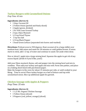# **Turkey Burgers with Caramelized Onions**

*Prep Time: 45 min*

### **Ingredients: (Serves 4)**

- 1 tbsp. Coconut Oil
- 2 Yellow Onion (peeled and finely sliced)
- 2 Apple (green, divided)
- 1 lb. 93% Lean Ground Turkey
- 2 tsps. Dijon Mustard
- $1/2$  tsp Dried Thyme
- 1 tsp Sea Salt
- 1/4 tsp Black Pepper
- 1 head Green Lettuce (separated into leaves and washed)

**Directions:** Preheat oven to 350 degrees. Heat coconut oil in a large skillet over medium heat. Add onion and sauté for 30 minutes or until golden brown. If onion starts to stick, add 1-2 tsp. of water and continue to sauté. Set aside when done.

Dice or shred 1 apple into a large mixing bowl. Squeeze the apple to get rid of any excess liquid. (drink it if you'd like, yum!)

Add your Dijon mustard, thyme, salt and pepper into the mixing bowl and mix to combine. Then add your turkey and apple and mix well. Form into patties, and place on a baking sheet lined with parchment paper.

Bake the burgers in the oven for about 15 minutes per side, or until cooked to your liking. Time to serve! Place turkey burger on a bed of lettuce and top with caramelized onion. Slice up additional apple for garnish.

# **Chicken Sausage with Apples & Peppers**

*Prep Time: 35 min*

# **Ingredients: (Serves 4)**

- 1 1/2 lbs. Organic Chicken Sausage
- 1 Yellow Onion (sliced)
- 3 Peppers (red, yellow, orange) (sliced)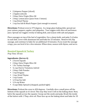- 2 Jalapeno Pepper (sliced)
- 2 Apples (sliced)
- 3 tbsp. Extra Virgin Olive Oil
- 2 tbsp. Lemon Juice (juice from 1 lemon)
- 1 tsp Dried Thyme
- 1 tsp Sea Salt & Black Pepper (just enough to season)

**Directions:** Preheat oven to 375 degrees. In a large glass baking dish, spread out your onions, peppers, apples, and jalapeños. Toss veggies with olive oil and lemon juice. Spread out veggies evenly in baking dish, and season with salt and pepper.

Place sausages on top of the bed of vegetables. Use a sharp knife, and poke 5-6 holes in each link. Cover with aluminum foil and bake for 25 minutes. Remove foil, flip sausage, and continue to bake for an additional 10 minutes. If you want the sausage crispy, you can broil it for a few minutes. When done, season with thyme, and serve.

# **Roasted Squash & Turkey**

*Prep Time: 50 min*

### **Ingredients: (Serves 4)**

- 2 Acorn Squash
- 2 tbsp. Extra Virgin Olive Oil
- 1 lb. Turkey Sausage
- $\frac{1}{2}$  cup Cherry Tomatoes, halved
- 2 tbsp. Chili Powder
- 1 tsp Oregano
- 1 tsp. Dried Thyme
- $\cdot$  1 tsp Cumin
- $1/4$  tsp Sea Salt
- $\cdot$  1/4 cup Water
- 4 cups Baby Spinach (chopped, packed tight)

**Directions:** Preheat the oven to 450 degrees. Carefully slice a small piece off the bottom of the squash so it's level. This way they won't roll on the baking sheet. Next, halve the squash across the equator. Scoop out the seeds and pulp. Brush the inside of the halves with 1 Tbsp. olive oil. Place face up on the baking sheet and bake for 35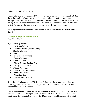- 45 mins or until golden brown.

Meanwhile, heat the remaining 1 Tbsp. of olive oil in a skillet over medium heat. Add the turkey and sauté until browned. Make sure to break up pieces as it cooks through. Next, add tomatoes, chili powder, oregano, cumin, sea salt and water to the turkey. Mix until everything is combined really well, and then add spinach. Stir until wilted. Turn down the heat to low to keep warm until your squash is done.

When squash is golden brown, remove from oven and stuff with the turkey mixture. Enjoy!

# **Sweet Chicken Chili Meatballs**

*Prep Time: 30 min*

### **Ingredients: (Serves 4)**

- 1 lb. Ground Chicken
- 1/2 Yellow Onion (medium, chopped)
- 2 Garlic (cloves, minced)
- $\bullet$  1 Egg
- 1 tsp Sea Salt (divided)
- 1/4 tsp Black Pepper
- 2 tbsp. Olive Oil
- 1/2 cup Organic Chicken Broth
- 1/3 cup Tomato Paste
- 1/4 cup Raw Honey
- 1 tbsp. Apple Cider Vinegar
- 1 tbsp. Chili Powder
- $\cdot$  1/4 tsp Paprika
- 1/4 tsp Ground Mustard

**Directions:** Preheat oven to 350 degrees F. In a large bowl, add the chicken, onion, garlic, egg, half the salt, and black pepper and mix to combine. Using your hands, create golfball-sized meatballs.

In a large oven-safe skillet over medium-high heat, add olive oil and cook meatballs until golden brown, turning frequently (for about 5 minutes). Once there's a nice crust, place the skillet in the oven for 18-20 minutes or until the meatballs are fully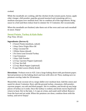cooked. 

While the meatballs are cooking, add the chicken broth, tomato paste, honey, apple cider vinegar, chili powder, paprika, ground mustard and remaining salt to a medium saucepan over medium heat. Stir to combine all of the ingredients. Bring sauce to a boil and then reduce heat to simmer for 3-5 minutes. Stir occasionally.

When the meatballs are finished, take them out of the oven and coat each meatball in sauce. Enjoy!

# **Sweet Potato, Turkey & Kale Bake**

*Prep Time: 30 min*

### **Ingredients: (Serves 4)**

- 2 Sweet Potato (medium, cubed)
- 1 tbsp. Extra Virgin Olive Oil
- 1 tbsp. Coconut Oil
- 1 White Onion (diced)
- 1 lb. Extra Lean Ground Turkey
- 1 tsp Cinnamon
- 1 tbsp. Chili Powder
- 1/2 tsp. Cayenne Pepper (optional)
- 1/2 tsp. Sea Salt
- 1/2 tsp. Black Pepper (optional)
- 8 cups Kale Leaves (finely diced)

**Directions:** Preheat oven to 425. Line a large baking sheet with parchment paper. Spread potatoes on the baking sheet and toss with olive oil. Then, making sure no potatoes overlap, bake for 20 minutes.

Meanwhile, heat coconut oil in a large skillet over medium heat. Add the onion and sauté for about 3 minutes. Next, add the ground turkey, cinnamon, chili powder, cayenne pepper, sea salt and black pepper. Stir to combine, and break up any large pieces of turkey as it cooks. Once the turkey is cooked, and drain excess liquid and return to heat. Stir in the kale, 1-2 cups at a time, and sauté until wilted. Remove from the heat and set aside. When the potatoes are done, combine them with the turkey, and serve! Enjoy!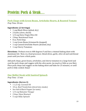# Protein: Pork & Steak…

# **Pork Chops with Green Beans, Artichoke Hearts, & Roasted Tomato**

*Prep Time: 30 min*

### **Ingredients: (2 Servings)**

- 1 cup Black Olives (pitted, dry)
- 2 Garlic (clove, sliced)
- 1/4 cup Extra Virgin Olive Oil
- 2 tbsp. Nutritional Yeast
- 8 oz. Pork Chop
- 1 cup Green Beans (trimmed & chopped)
- 1 cup Canned Artichoke Hearts (drained, dry)
- 1 cup Cherry Tomatoes

**Directions:** Preheat oven to 400 degrees F and line a rimmed baking sheet with aluminum foil. Next, in a food processor, blend olives, garlic, olive oil and nutritional yeast until you have a thick paste.

Add pork chops, green beans, artichokes, and cherry tomatoes to a large bowl and coat the pork chops and veggies with the olive pesto. (as much or little as you like). Place pork chops and veggies on the baking sheet and bake for 25 minutes, or until pork is fully cooked. Enjoy!

# **One Skillet Steak with Sautéed Spinach**

*Prep Time: 15 min*

### **Ingredients: (Serves 2)**

- $11/2$  tsp. Coconut Oil
- 10 oz. Beef Tenderloin (sliced into steaks)
- Sea Salt & Black Pepper (to taste)
- 1/4 cup Balsamic Vinegar
- 2 tbsp. Dijon Mustard
- 5 cups Baby Spinach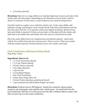•  $1/4$  Lemon (juiced)

**Directions:** Heat oil in a large skillet over medium-high heat. Season each side of the steaks with salt and pepper. Depending on the thickness of your steak, cook for about 5-6 minutes on each side, or until cooked to your desired temperature.

Transfer steaks to a plate, cover with foil, and let rest. In the same skillet, add balsamic vinegar and bring to a boil. Scrape off all of the bits at the bottom and mix into the sauce. Boil for 1 to 2 minutes until sauce begins to thicken. Remove from heat and whisk in mustard. If there are any juices in the plate with the steaks, add that back to the skillet also and whisk. Pour the sauce in a bowl and set aside.

Place the same skillet back over medium heat and add the spinach. Sauté until wilted. Turn off the heat and stir in lemon juice. Time to serve! Plate your steaks with the sautéed spinach. Drizzle balsamic sauce over steaks, and enjoy.

### **Pork Tenderloin with Sweet Potato Mash**

*Prep Time: 1 hour*

### **Ingredients: (Serves 4)**

- $1/2$  tsp. Rosemary (dried)
- $11/2$  tsp. Thyme (dried)
- 4 Garlic (cloves, minced)
- 2 tsp. Dijon Mustard
- 1 tsp Sea Salt
- 1/2 tsp Black Pepper
- 2 lbs. Pork Tenderloin
- 2 tbsp. Extra Virgin Olive Oil
- 3 Sweet Potato (medium, peeled and sliced)
- 1 tsp Cinnamon Sea Salt & Black Pepper (to taste)

**Directions:** Preheat oven to 400 degrees. Smash the rosemary, thyme, garlic, mustard, salt and pepper and combine into a thick paste. Cut small slits into the pork tenderloin. Rub the 2/3 of the paste into the slits. Combine leftover paste with olive oil and rub over the entire tenderloin.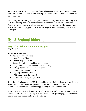Bake, uncovered, for 45 minutes in a glass baking dish. (meat thermometer should read 145 degrees F when it's done cooking.) Remove and cover with foil and let rest for 10 minutes.

While the pork is cooking, fill a pot (with a steam basket) with water and bring to a boil. Add sweet potatoes to the basket and steam for 8 to 10 minutes until soft. Place the sweet potatoes in a large bowl and mash with a fork. Add cinnamon, and season with salt and pepper to taste. Serve the pork with the sweet potato mash and enjoy!

# Fish & Seafood Dishes…

# **Easy Baked Salmon & Rainbow Veggies**

*Prep Time: 40 min*

### **Ingredients: (Serves 2)**

- 2 cups Cherry Tomatoes
- 10 oz. Salmon Fillet
- 1 Yellow Pepper (sliced)
- 2 cups Broccoli (chopped into small florets)
- 1 cup Cauliflower (chopped into small florets)
- 1/2 cup Red Onion (sliced into chunks)
- 2 tbsp. Extra Virgin Olive Oil
- 1 1/2 tsp. Coconut Aminos
- $1/2$  Orange (zested & juiced)
- Sea Salt & Black Pepper (to taste)

**Directions:** Preheat oven to 375 degrees. Line a large baking sheet with parchment paper. (you'll need two baking sheets). Place the salmon on the center of the baking sheet. Spread out all of the chopped veggies around the salmon.

Drizzle the vegetables with olive oil. Brush the salmon with coconut aminos, orange juice and zest. Season everything with sea salt and fresh ground pepper. Bake for 30 minutes, or until salmon is fully cooked. Enjoy!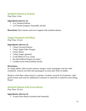### **Smoked Salmon & Tomato**

*Prep Time: 3 min*

### **Ingredients (Serves 1):**

- 4 oz. Smoked Salmon
- $1/2$  Tomato (organic if possible, sliced)

**Directions:** Slice tomato and serve topped with smoked salmon.

# **Ginger Steamed Cod Fillets**

*Prep Time: 15 min*

### **Ingredients: (Serves 2)**

- 2 tbsp. Coconut Aminos
- 2 tbsp. Apple Cider Vinegar
- 2 tbsp. Water
- 1 tbsp. Ginger (grated)
- 2 Cod Fillets (5-6 oz. each)
- Sea Salt & Black Pepper (to taste)
- 3 stalks Green Onion (thinly sliced)

#### Directions:

In a large skillet, add coconut aminos, vinegar, water and ginger and stir until combined. Season cod with salt and pepper on each side. Place in skillet.

Bring to a boil then reduce heat to a simmer. Cooked, covered, for 8 minutes. Add green onions and cook for additional 2 minutes or until fish is cooked to your liking. Enjoy!

# **Roasted Salmon with Green Beans**

*Prep Time: 25 min*

#### **Ingredients: (Serves 4)**

• 4 cups Green Beans (washed and trimmed)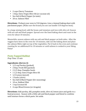- 2 cups Cherry Tomatoes
- 1 tbsp. Extra Virgin Olive Oil (or coconut oil)
- Sea Salt & Black Pepper (to taste)
- 20 oz. Salmon Fillet

**Directions:** Preheat your oven to 510 degrees. Line a rimmed baking sheet with parchment paper. (Make sure the brand you use can handle 510 degrees heat).

In a large mixing bowl, add the beans and tomatoes and toss with olive oil. Season with sea salt and black pepper. Spread over the lined baking sheet and roast in the oven for about 10 minutes.

Meanwhile, season salmon with sea salt and black pepper on both sides. After the veggies have been in the oven for 10 minutes, take out the baking sheet and place the salmon fillets right on top of the vegetables. Put it back in the oven and continue roasting for an additional 8 to 10 minutes or until salmon is cooked to your liking. Enjoy!

# **Pesto Topped Halibut**

*Prep Time: 15 min*

# **Ingredients: (Serves 2)**

- 1/2 cup Parsley (packed)
- 2 tbsp. Fresh Dill (packed)
- 2 2/3 tbsp. Pumpkin Seeds
- 1 1/2 tbsp. Extra Virgin Olive Oil
- 1/2 Lemon (juiced)
- 1 Garlic (clove)
- Sea Salt & Black Pepper (for seasoning)
- 10 oz. Halibut Fillet
- 1 tsp Coconut Oil
- 4 cups Mixed Greens (or Arugula)

**Directions:** Add parsley, dill, pumpkin seeds, olive oil, lemon juice and garlic to a food processor. Season with a little salt and black pepper and blend to combine until mixture forms a thick paste. Set aside.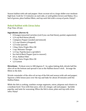Season halibut with salt and pepper. Heat coconut oil in a large skillet over mediumhigh heat. Cook for 3-4 minutes on each side, or until golden brown and flakey. On a bed of greens, place halibut fillets, and top each fish with a scoop of pesto. Enjoy!!

### **Baked Halibut with Citrus Salsa**

*Prep Time: 20 min*

### **Ingredients: (Serves 4)**

- 4 Oranges (assorted varieties (red if you can find them), peeled, segmented)
- 1/4 cup Red Onion (diced)
- 1 Jalapeno Pepper (seeded and minced)
- $1/2$  cup Cilantro (chopped)
- $1/2$  Lime (juiced)
- 1 tbsp. Extra Virgin Olive Oil
- 1 tsp. Balsamic Vinegar
- $1/2$  tsp. Paprika (just a sprinkle!)
- Sea Salt & Black Pepper (just to season!)
- 20 oz. Halibut Fillet
- 1 tbsp. Extra Virgin Olive Oil
- $1/2$  Lemon

**Directions:** Preheat oven to 400 degrees F. In a glass baking dish, drizzle half the olive oil on the bottom and spread it out so the Halibut doesn't stick. Arrange the fillets in the dish.

Drizzle remainder of the olive oil on top of the fish and season with salt and pepper. Squeeze a little lemon juice over the top and bake for about 20 minutes until the Halibut flakes. 

While the fish is cooking, combine orange segments, onion, jalapeno and cilantro in a medium bowl. Toss with lime juice, olive oil, vinegar, salt and pepper. Sprinkle paprika, and taste for seasoning. When the fish is done, plate and top with citrus salsa. Enjoy!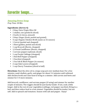# Favorite Soups…

# **Amazing Detox Soup**

*Prep Time: 30 Min*

### **Ingredients: (Serves 4)**

- 2 tbsp. Extra Virgin Olive Oil
- 1 shallot, raw (peeled  $&$  sliced)
- 2 Garlic (2 cloves, minced)
- 2 tbsp. Ginger (fresh, peeled and grated)
- 4 cups Organic Chicken Broth (same as 32 ounces)
- 1 Carrot (peeled and chopped)
- 1 Beet (golden, peeled and sliced)
- 1 cup Broccoli (florets, chopped)
- 1/4 head Cauliflower (florets, chopped)
- 1 serrano pepper (optional, sliced)
- 1 cup Purple Cabbage (chopped)
- 1 Red Bell Pepper (chopped)
- 1 Zucchini (chopped)
- 1 Sea Salt & Black Pepper (to season)
- 2 cups Kale Leaves (chopped)
- 1 cup Cherry Tomatoes (sliced in half)

**Directions:** Heat the olive oil in a large soup pot over medium heat. For a few minutes, sauté shallots, garlic, and ginger for about 3-4 minutes until softened. Add chicken broth and raise heat to bring to a simmer. Add carrots and beets and simmer for 3-4 more minutes.

Add broccoli, cauliflower, and serrano pepper (if using) and simmer for another couple of minutes. The veggies should be just barely tender. If not, cook a little longer. Add in the rest of your vegetables (cabbage, red pepper zucchini). Bring to a boil, and then reduce heat to a low simmer. Vegetables should be tender, but not soft. Add in spinach and tomatoes. Season with salt and pepper. Enjoy!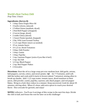# **World's Best Turkey Chili**

*Prep Time: 3 hours*

### **Ingredients: (Serves 8)**

- 1 tbsp. Extra Virgin Olive Oil
- 3 Garlic (cloves, minced)
- 2 Yellow Onion (medium, diced)
- 2 Red Bell Pepper (chopped)
- 2 Carrot (large, diced)
- 2 stalks Celery (diced)
- 1 Sweet Potato (peeled, chopped)
- 2 lbs. 93% Lean Ground Turkey
- $11/2$  cups Water (more as needed)
- 15 oz. tomato Sauce
- 14 1/2 oz. Diced Tomatoes
- 3 tbsp. Chili Powder
- 1 tbsp. Cumin
- 1 tbsp. Paprika
- 1 tsp. Cayenne Pepper (extra if you like it hot!)
- 1 tsp. Sea Salt
- 1/2 tsp. Black Pepper
- 1 tsp. Red Pepper Flakes
- 2 Avocados

**Directions**: Heat the oil in a large soup pot over medium heat. Add garlic, onions, bell peppers, carrots, celery, and sweet potato. Sae for 7-9 minutes, until soft. Add the turkey and cook until it starts to brown (about 7 minutes), mixing often to break up chunks. Add  $1\frac{1}{2}$  cups water, tomato sauce, diced tomatoes in their juices, chili powder, cumin, paprika, cayenne, salt, black pepper, and red pepper flakes. Bring to a boil, then reduce to a simmer. Keep uncovered. Cook for about 45 minutes, stirring often. When it's done, add extra spices to reach your desired flavor. Slice avocado for garnish, and enjoy!

**NOTES:** Leftovers - You'll use 4 servings of this recipe in the next few days. Divide the chili in half, and freeze the rest for later on in the challenge!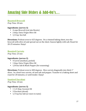# Amazing Side Dishes & Add-On's…

# **Roasted Broccoli**

*Prep Time: 30 min*

### **Ingredients: (serves 3)**

- 4 cups Broccoli (cut into florets)
- 2 tbsp. Extra Virgin Olive Oil
- $1/2$  tsp. Sea Salt

**Directions:** Preheat oven to 425 degrees. On a rimmed baking sheet, toss the broccoli with olive oil and spread out on the sheet. Season lightly with salt. Roast for 20-25 minutes. Enjoy!

### **Roasted Carrots**

*Prep Time: 25 min*

### **Ingredients: (serves 2)**

- 4 Carrot (medium, peeled)
- 1 tbsp. Extra Virgin Olive Oil
- 1/8 Sea Salt & Black Pepper (for seasoning)

**Directions:** Preheat oven to 400 degrees. Slice carrots diagonally into thick 1" slices. In a bowl toss carrots, oil and salt and pepper. Transfer to a baking sheet and roast for 20 minutes, or until tender. Enjoy!

# **Sautéed Zucchini**

*Prep Time: 10 min*

### **Ingredients: (serves 3)**

- 1 1/2 tbsp. Coconut Oil
- 3 Zucchini (sliced)
- 1/3 tsp Sea Salt (or more to taste)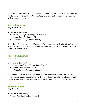**Directions:** Heat coconut oil in a skillet over med-high heat. Once the oil is hot, add zucchini and sauté for about 3-5 minutes per side, or until golden brown. Season with sea salt and enjoy!

### **Roasted Asparagus**

*Prep Time: 15 min*

#### **Ingredients: (serves 4)**

- 3 cups Asparagus (woody ends trimmed)
- 1 tbsp. Extra Virgin Olive Oil
- $1/4$  tsp Sea Salt (or more to taste)

**Directions:** Preheat oven to 425 degrees. Toss asparagus with olive oil and season with salt. Spread on a rimmed baking sheet lined with parchment paper. Roast for 12 to 15 minutes. Enjoy!

### **Roasted Cauliflower**

*Prep Time: 35 min*

#### **Ingredients: (serves 4)**

- 1 head Cauliflower (chopped into florets)
- 2 tbsp. Extra Virgin Olive Oil
- $1/4$  tsp Sea Salt (or more to taste)

**Directions:** Preheat oven to 350 degrees. Toss cauliflower florets with olive oil. Spread out on baking sheet. Season with salt, and then roast for 30 minutes or until golden brown. Flip cauliflower halfway through. Remove from oven, and enjoy!

### **Sautéed Spinach**

*Prep Time: 10 min*

#### **Ingredients: (Serves 4)**

• 1 lb. Baby Spinach (rinsed, dry)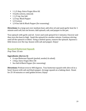- 1 1/2 tbsp. Extra Virgin Olive Oil
- 4 Garlic (cloves, minced)
- 1 1/3 tsp. Sea Salt
- 1/2 tsp. Black Pepper
- $\cdot$  1/2 Lemon
- 1/4 Sea Salt & Black Pepper (for seasoning)

**Directions:** In a large pot over medium heat, add olive oil and sauté garlic heat for 1 minute until soft, but not brown. Add spinach, salt, and pepper to the pot.

Toss spinach with garlic and oil. Cover and cook spinach for 2 minutes. Uncover and then turn the heat to high. Sauté the spinach for another minute. Continue stirring until all the spinach is wilted. Using a slotted spoon, remove the spinach. Squeeze a little lemon over the top. Season with salt and pepper. Enjoy!

# **Roasted Butternut Squash**

*Prep Time: 35 min*

### **Ingredients: (Serves 4)**

- 6 cups Butternut Squash (peeled, seeded, & cubed)
- 2 tbsp. Extra Virgin Olive Oil
- Sea Salt & Black Pepper (for seasoning)

**Directions:** Preheat oven to 400 degrees. Toss butternut squash with olive oil in a bowl. Season with salt and black pepper. Arrange squash on a baking sheet. Roast for 25-30 minutes or until golden brown. Enjoy!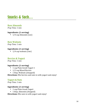# Snacks & Such…

### **Raw Almonds**

*Prep Time: 1 min*

### **Ingredients: (1 serving)**

•  $1/4$  cup Almonds (raw)

### **Raw Walnuts**

*Prep Time: 1 min*

### **Ingredients: (1 serving)**

•  $1/4$  cup walnuts (raw)

### **Berries & Yogurt**

*Prep Time: 1 min* 

### **Ingredients: (1 serving)**

- 1 cup Plain Greek Yogurt 1
- 1/2 cup Mixed Berries
- 1 tbsp. Walnuts (chopped)

### **Directions:** Mix berries and nuts in with yogurt and enjoy!

# **Yogurt & Nuts**

*Prep Time: 1 min* 

### **Ingredients: (1 serving)**

- 1 cup Plain Greek Yogurt
- 1 tbsp. Almonds (chopped)

**Directions:** Mix nuts in with yogurt and enjoy!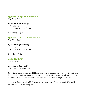# **Apple & 1 tbsp. Almond Butter**

*Prep Time: 1 min*

### **Ingredients: (1 serving)**

- 1 Apple
- 1 tbsp. Almond Butter

**Directions:** Enjoy!

# **Apple & 2 Tbsp. Almond Butter**

*Prep Time: 1 min*

### **Ingredients: (1 serving)**

- 1 Apple
- 2 tbsp. Almond Butter

**Directions:** Enjoy!

**Clean Trail Mix** *Prep Time: 1 min* 

### **Ingredients: (serves 6)**

• 16 oz. Clean Trail Mix

**Directions:** Grab and go snack! Make your own by combining your favorite nuts and dried fruits.... but it's a lot easier to buy a pre-made mix! Look for a "clean" trail mix in any health food store or where the nuts and seeds are in the grocery store.

Make sure there are NO added sugars or preservatives. Choose organic if possible. Amazon has a great variety also.